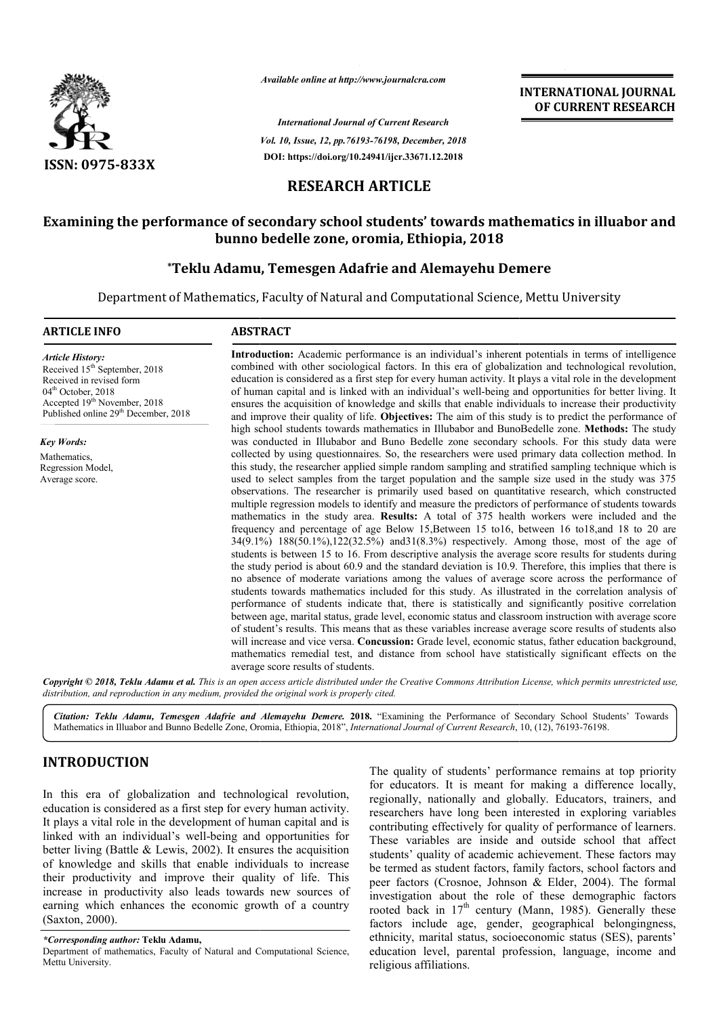

*Available online at http://www.journalcra.com*

*International Journal of Current Research Vol. 10, Issue, 12, pp.76193-76198, December, 2018* **DOI: https://doi.org/10.24941/ijcr.33671.12.2018**

**INTERNATIONAL JOURNAL OF CURRENT RESEARCH**

# **RESEARCH ARTICLE**

# Examining the performance of secondary school students' towards mathematics in illuabor and<br>bunno bedelle zone, oromia, Ethiopia, 2018<br>Teklu Adamu, Temesgen Adafrie and Alemayehu Demere\* **bunno bedelle zone, oromia, Ethiopia, 2018**

# **\*Teklu Adamu, Temesgen Adafrie and Alemayehu Demere Teklu**

Department of Mathematics, Faculty of Natural and Computational Science, Mettu University

#### **ARTICLE INFO ABSTRACT**

*Article History:* Received 15<sup>th</sup> September, 2018 Received in revised form 04<sup>th</sup> October, 2018 Accepted 19th November, 2018 Published online 29<sup>th</sup> December, 2018

*Key Words:* Mathematics, Regression Model, Average score.

**Introduction:**  Academic performance is an individual's inherent potentials in terms of intelligence combined with other sociological factors. In this era of globalization and technological revolution, education is considered as a first step for every human activity. It plays a vital role in the development education is considered as a first step for every human activity. It plays a vital role in the development<br>of human capital and is linked with an individual's well-being and opportunities for better living. It ensures the acquisition of knowledge and skills that enable individuals to increase their productivity and improve their quality of life. **Objectives:** The aim of this study is to predict the performance of high school students towards mathematics in Illubabor and BunoBedelle zone. Methods: The study was conducted in Illubabor and Buno Bedelle zone secondary schools. For this study data were collected by using questionnaires. So, the researchers were used primary data collection method. In this study, the researcher applied simple random sampling and stratified sampling technique which is used to select samples from the target population and the sample size used in the study was 375 observations. The researcher is primarily used based on quantitative research, which constructed observations. The researcher is primarily used based on quantitative research, which constructed multiple regression models to identify and measure the predictors of performance of students towards mathematics in the study area. **Results:** A total of 375 health workers were included and the mathematics in the study area. **Results:** A total of 375 health workers were included and the frequency and percentage of age Below 15,Between 15 to16, between 16 to18,and 18 to 20 are 34(9.1%) 188(50.1%),122(32.5%) and31(8.3%) respectively. Among those, most of the age of students is between 15 to 16. From descriptive analysis the average score results for students during the study period is about 60.9 and the standard deviation is 10.9. Therefore, this implies that there is no absence of moderate variations among the values of average score a students towards mathematics included for this study. As illustrated in the correlation analysis of performance of students indicate that, there is statistically and significantly positive correlation between age, marital status, grade level, economic status and classroom instruction with average score of student's results. This means that as these variables increase average score results of students also will increase and vice versa. **Concussion:** Grade level, economic status mathematics remedial test, and distance from school have statistically significant effects on the average score results of students. ensures the acquisition of knowledge and skills that enable individuals to increase their productivity<br>and improve their quality of life. Objectives: The aim of this study is to predict the performance of<br>high school stude  $34(9.1\%)$   $188(50.1\%)$ , $122(32.5\%)$  and  $31(8.3\%)$  respectively. Among those, most of the age of students is between 15 to 16. From descriptive analysis the average score results for students during the study period is a students towards mathematics included for this study. As illustrated in the correlation analysis of performance of students indicate that, there is statistically and significantly positive correlation between age, marital and 

Copyright © 2018, Teklu Adamu et al. This is an open access article distributed under the Creative Commons Attribution License, which permits unrestricted use, *distribution, and reproduction in any medium, provided the original work is properly cited.*

Citation: Teklu Adamu, Temesgen Adafrie and Alemayehu Demere. 2018. "Examining the Performance of Secondary School Students' Towards<br>Mathematics in Illuabor and Bunno Bedelle Zone, Oromia, Ethiopia, 2018", International Jo Mathematics in Illuabor and Bunno Bedelle Zone, Oromia, Ethiopia, 2018 2018", *International Journal of Current Research*,

# **INTRODUCTION**

In this era of globalization and technological revolution, education is considered as a first step for every human activity. It plays a vital role in the development of human capital and is linked with an individual's well-being and opportunities for better living (Battle & Lewis, 2002). It ensures the acquisition of knowledge and skills that enable individuals to increase their productivity and improve their quality of life. This increase in productivity also leads towards new sources of earning which enhances the economic growth of a country (Saxton, 2000).

*\*Corresponding author:* **Teklu Adamu,**

Department of mathematics, Faculty of Natural and Computational Science, Mettu University.

The quality of students' performance remains at top priority<br>
in each of globalization and technological revolution,<br>
the quality of educators. It is meant for making a difference locally,<br>
the mate at the development of h for educators. It is meant for making a difference locally, regionally, nationally and globally. Educators, trainers, and researchers have long been interested in exploring variables contributing effectively for quality of performance of learners. These variables are inside and outside school that affect students' quality of academic achievement. These factors may be termed as student factors, family factors, school factors and peer factors (Crosnoe, Johnson & Elder, 2004). The formal investigation about the role of these demographic factors rooted back in  $17<sup>th</sup>$  century (Mann, 1985). Generally these factors include age, gender, geographical belongingness, ethnicity, marital status, socioeconomic status (SES), parents' education level, parental profession, language, income and religious affiliations. for educators. It is meant for making a difference locally, regionally, nationally and globally. Educators, trainers, and researchers have long been interested in exploring variables contributing effectively for quality o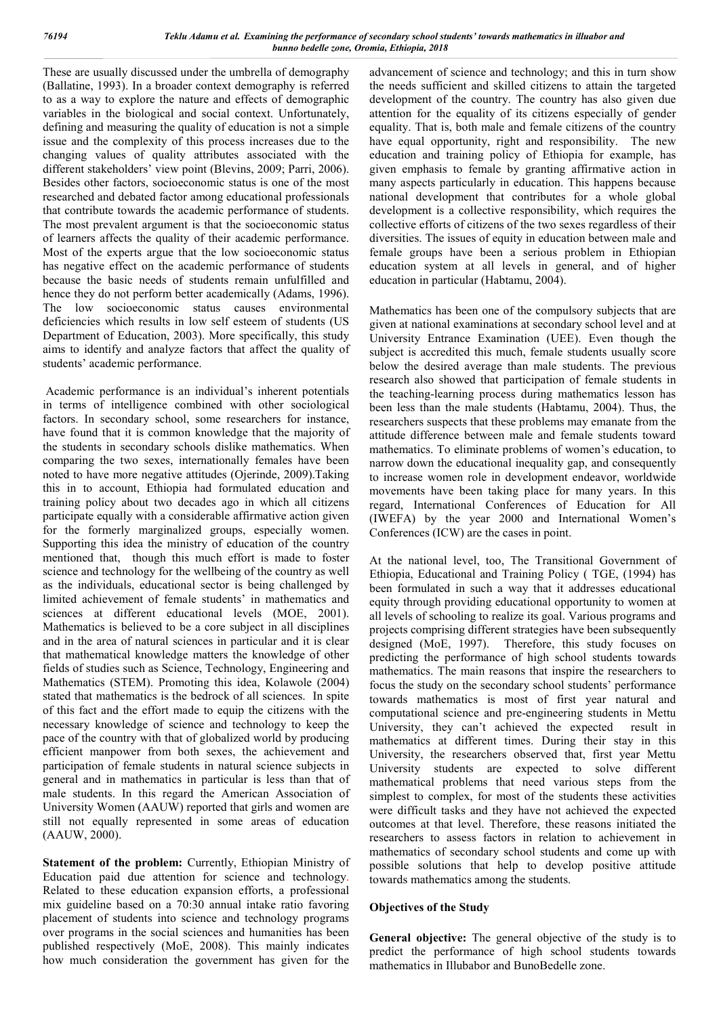These are usually discussed under the umbrella of demography (Ballatine, 1993). In a broader context demography is referred to as a way to explore the nature and effects of demographic variables in the biological and social context. Unfortunately, defining and measuring the quality of education is not a simple issue and the complexity of this process increases due to the changing values of quality attributes associated with the different stakeholders' view point (Blevins, 2009; Parri, 2006). Besides other factors, socioeconomic status is one of the most researched and debated factor among educational professionals that contribute towards the academic performance of students. The most prevalent argument is that the socioeconomic status of learners affects the quality of their academic performance. Most of the experts argue that the low socioeconomic status has negative effect on the academic performance of students because the basic needs of students remain unfulfilled and hence they do not perform better academically (Adams, 1996). The low socioeconomic status causes environmental deficiencies which results in low self esteem of students (US Department of Education, 2003). More specifically, this study aims to identify and analyze factors that affect the quality of students' academic performance.

Academic performance is an individual's inherent potentials in terms of intelligence combined with other sociological factors. In secondary school, some researchers for instance, have found that it is common knowledge that the majority of the students in secondary schools dislike mathematics. When comparing the two sexes, internationally females have been noted to have more negative attitudes (Ojerinde, 2009).Taking this in to account, Ethiopia had formulated education and training policy about two decades ago in which all citizens participate equally with a considerable affirmative action given for the formerly marginalized groups, especially women. Supporting this idea the ministry of education of the country mentioned that, though this much effort is made to foster science and technology for the wellbeing of the country as well as the individuals, educational sector is being challenged by limited achievement of female students' in mathematics and sciences at different educational levels (MOE, 2001). Mathematics is believed to be a core subject in all disciplines and in the area of natural sciences in particular and it is clear that mathematical knowledge matters the knowledge of other fields of studies such as Science, Technology, Engineering and Mathematics (STEM). Promoting this idea, Kolawole (2004) stated that mathematics is the bedrock of all sciences. In spite of this fact and the effort made to equip the citizens with the necessary knowledge of science and technology to keep the pace of the country with that of globalized world by producing efficient manpower from both sexes, the achievement and participation of female students in natural science subjects in general and in mathematics in particular is less than that of male students. In this regard the American Association of University Women (AAUW) reported that girls and women are still not equally represented in some areas of education (AAUW, 2000).

Statement of the problem: Currently, Ethiopian Ministry of Education paid due attention for science and technology. Related to these education expansion efforts, a professional mix guideline based on a 70:30 annual intake ratio favoring placement of students into science and technology programs over programs in the social sciences and humanities has been published respectively (MoE, 2008). This mainly indicates how much consideration the government has given for the

advancement of science and technology; and this in turn show the needs sufficient and skilled citizens to attain the targeted development of the country. The country has also given due attention for the equality of its citizens especially of gender equality. That is, both male and female citizens of the country have equal opportunity, right and responsibility. The new education and training policy of Ethiopia for example, has given emphasis to female by granting affirmative action in many aspects particularly in education. This happens because national development that contributes for a whole global development is a collective responsibility, which requires the collective efforts of citizens of the two sexes regardless of their diversities. The issues of equity in education between male and female groups have been a serious problem in Ethiopian education system at all levels in general, and of higher education in particular (Habtamu, 2004).

Mathematics has been one of the compulsory subjects that are given at national examinations at secondary school level and at University Entrance Examination (UEE). Even though the subject is accredited this much, female students usually score below the desired average than male students. The previous research also showed that participation of female students in the teaching-learning process during mathematics lesson has been less than the male students (Habtamu, 2004). Thus, the researchers suspects that these problems may emanate from the attitude difference between male and female students toward mathematics. To eliminate problems of women's education, to narrow down the educational inequality gap, and consequently to increase women role in development endeavor, worldwide movements have been taking place for many years. In this regard, International Conferences of Education for All (IWEFA) by the year 2000 and International Women's Conferences (ICW) are the cases in point.

At the national level, too, The Transitional Government of Ethiopia, Educational and Training Policy ( TGE, (1994) has been formulated in such a way that it addresses educational equity through providing educational opportunity to women at all levels of schooling to realize its goal. Various programs and projects comprising different strategies have been subsequently designed (MoE, 1997). Therefore, this study focuses on predicting the performance of high school students towards mathematics. The main reasons that inspire the researchers to focus the study on the secondary school students' performance towards mathematics is most of first year natural and computational science and pre-engineering students in Mettu University, they can't achieved the expected result in mathematics at different times. During their stay in this University, the researchers observed that, first year Mettu University students are expected to solve different mathematical problems that need various steps from the simplest to complex, for most of the students these activities were difficult tasks and they have not achieved the expected outcomes at that level. Therefore, these reasons initiated the researchers to assess factors in relation to achievement in mathematics of secondary school students and come up with possible solutions that help to develop positive attitude towards mathematics among the students.

## **Objectives of the Study**

**General objective:** The general objective of the study is to predict the performance of high school students towards mathematics in Illubabor and BunoBedelle zone.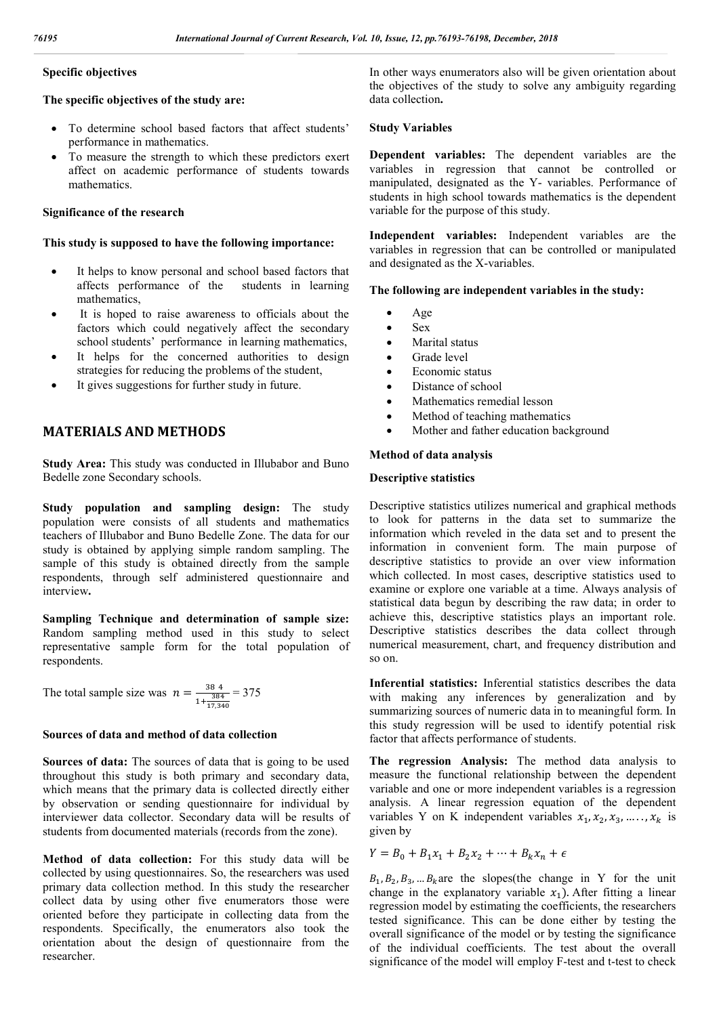### **Specific objectives**

#### **The specific objectives of the study are:**

- To determine school based factors that affect students' performance in mathematics.
- To measure the strength to which these predictors exert affect on academic performance of students towards mathematics.

#### **Significance of the research**

#### **This study is supposed to have the following importance:**

- It helps to know personal and school based factors that affects performance of the students in learning mathematics,
- It is hoped to raise awareness to officials about the factors which could negatively affect the secondary school students' performance in learning mathematics,
- It helps for the concerned authorities to design strategies for reducing the problems of the student,
- It gives suggestions for further study in future.

### **MATERIALS AND METHODS**

**Study Area:** This study was conducted in Illubabor and Buno Bedelle zone Secondary schools.

**Study population and sampling design:** The study population were consists of all students and mathematics teachers of Illubabor and Buno Bedelle Zone. The data for our study is obtained by applying simple random sampling. The sample of this study is obtained directly from the sample respondents, through self administered questionnaire and interview**.**

**Sampling Technique and determination of sample size:**  Random sampling method used in this study to select representative sample form for the total population of respondents.

The total sample size was 
$$
n = \frac{384}{1 + \frac{384}{17,340}} = 375
$$

#### **Sources of data and method of data collection**

**Sources of data:** The sources of data that is going to be used throughout this study is both primary and secondary data, which means that the primary data is collected directly either by observation or sending questionnaire for individual by interviewer data collector. Secondary data will be results of students from documented materials (records from the zone).

**Method of data collection:** For this study data will be collected by using questionnaires. So, the researchers was used primary data collection method. In this study the researcher collect data by using other five enumerators those were oriented before they participate in collecting data from the respondents. Specifically, the enumerators also took the orientation about the design of questionnaire from the researcher.

In other ways enumerators also will be given orientation about the objectives of the study to solve any ambiguity regarding data collection**.**

#### **Study Variables**

**Dependent variables:** The dependent variables are the variables in regression that cannot be controlled or manipulated, designated as the Y- variables. Performance of students in high school towards mathematics is the dependent variable for the purpose of this study.

**Independent variables:** Independent variables are the variables in regression that can be controlled or manipulated and designated as the X-variables.

#### **The following are independent variables in the study:**

- Age
- $S_{\text{ev}}$
- Marital status
- Grade level
- Economic status
- Distance of school
- Mathematics remedial lesson
- Method of teaching mathematics
- Mother and father education background

#### **Method of data analysis**

#### **Descriptive statistics**

Descriptive statistics utilizes numerical and graphical methods to look for patterns in the data set to summarize the information which reveled in the data set and to present the information in convenient form. The main purpose of descriptive statistics to provide an over view information which collected. In most cases, descriptive statistics used to examine or explore one variable at a time. Always analysis of statistical data begun by describing the raw data; in order to achieve this, descriptive statistics plays an important role. Descriptive statistics describes the data collect through numerical measurement, chart, and frequency distribution and so on.

**Inferential statistics:** Inferential statistics describes the data with making any inferences by generalization and by summarizing sources of numeric data in to meaningful form. In this study regression will be used to identify potential risk factor that affects performance of students.

**The regression Analysis:** The method data analysis to measure the functional relationship between the dependent variable and one or more independent variables is a regression analysis. A linear regression equation of the dependent variables Y on K independent variables  $x_1, x_2, x_3, \ldots, x_k$  is given by

$$
Y = B_0 + B_1 x_1 + B_2 x_2 + \dots + B_k x_n + \epsilon
$$

 $B_1, B_2, B_3, \dots B_k$  are the slopes(the change in Y for the unit change in the explanatory variable  $x_1$ ). After fitting a linear regression model by estimating the coefficients, the researchers tested significance. This can be done either by testing the overall significance of the model or by testing the significance of the individual coefficients. The test about the overall significance of the model will employ F-test and t-test to check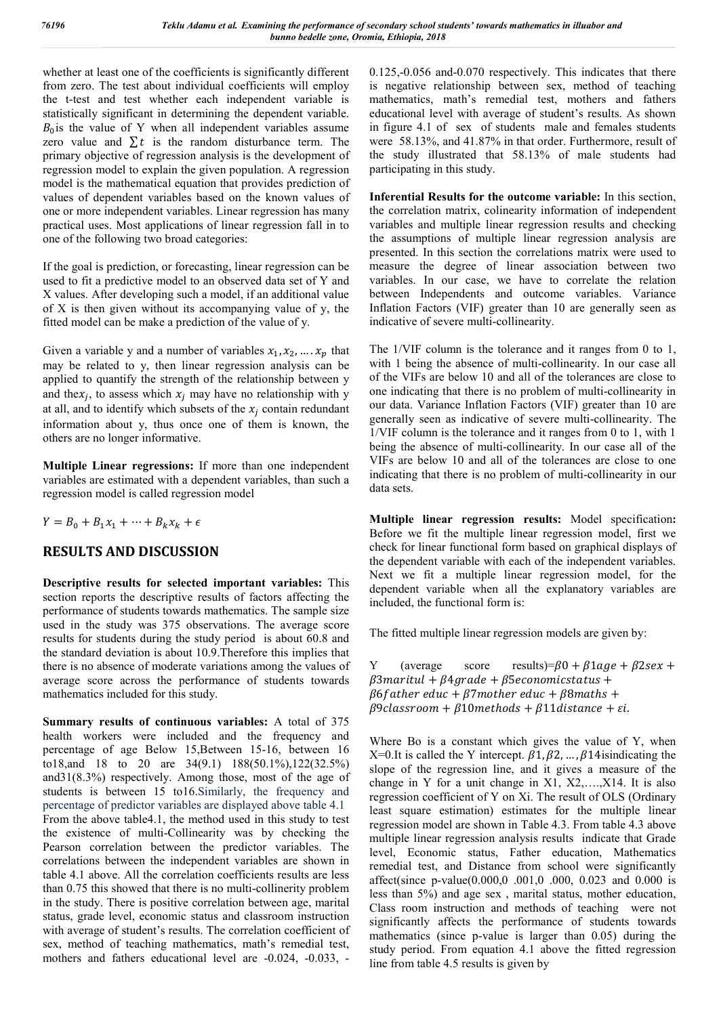whether at least one of the coefficients is significantly different from zero. The test about individual coefficients will employ the t-test and test whether each independent variable is statistically significant in determining the dependent variable.  $B<sub>0</sub>$  is the value of Y when all independent variables assume zero value and  $\Sigma t$  is the random disturbance term. The primary objective of regression analysis is the development of regression model to explain the given population. A regression model is the mathematical equation that provides prediction of values of dependent variables based on the known values of one or more independent variables. Linear regression has many practical uses. Most applications of linear regression fall in to one of the following two broad categories:

If the goal is prediction, or forecasting, linear regression can be used to fit a predictive model to an observed data set of Y and X values. After developing such a model, if an additional value of X is then given without its accompanying value of y, the fitted model can be make a prediction of the value of y.

Given a variable y and a number of variables  $x_1, x_2, ..., x_n$  that may be related to y, then linear regression analysis can be applied to quantify the strength of the relationship between y and the $x_i$ , to assess which  $x_i$  may have no relationship with y at all, and to identify which subsets of the  $x_i$  contain redundant information about y, thus once one of them is known, the others are no longer informative.

**Multiple Linear regressions:** If more than one independent variables are estimated with a dependent variables, than such a regression model is called regression model

 $Y = B_0 + B_1 x_1 + \cdots + B_k x_k + \epsilon$ 

# **RESULTS AND DISCUSSION**

**Descriptive results for selected important variables:** This section reports the descriptive results of factors affecting the performance of students towards mathematics. The sample size used in the study was 375 observations. The average score results for students during the study period is about 60.8 and the standard deviation is about 10.9.Therefore this implies that there is no absence of moderate variations among the values of average score across the performance of students towards mathematics included for this study.

**Summary results of continuous variables:** A total of 375 health workers were included and the frequency and percentage of age Below 15,Between 15-16, between 16 to18,and 18 to 20 are 34(9.1) 188(50.1%),122(32.5%) and31(8.3%) respectively. Among those, most of the age of students is between 15 to16.Similarly, the frequency and percentage of predictor variables are displayed above table 4.1 From the above table4.1, the method used in this study to test the existence of multi-Collinearity was by checking the Pearson correlation between the predictor variables. The correlations between the independent variables are shown in table 4.1 above. All the correlation coefficients results are less than 0.75 this showed that there is no multi-collinerity problem in the study. There is positive correlation between age, marital status, grade level, economic status and classroom instruction with average of student's results. The correlation coefficient of sex, method of teaching mathematics, math's remedial test, mothers and fathers educational level are -0.024, -0.033, -

0.125,-0.056 and-0.070 respectively. This indicates that there is negative relationship between sex, method of teaching mathematics, math's remedial test, mothers and fathers educational level with average of student's results. As shown in figure 4.1 of sex of students male and females students were 58.13%, and 41.87% in that order. Furthermore, result of the study illustrated that 58.13% of male students had participating in this study.

**Inferential Results for the outcome variable:** In this section, the correlation matrix, colinearity information of independent variables and multiple linear regression results and checking the assumptions of multiple linear regression analysis are presented. In this section the correlations matrix were used to measure the degree of linear association between two variables. In our case, we have to correlate the relation between Independents and outcome variables. Variance Inflation Factors (VIF) greater than 10 are generally seen as indicative of severe multi-collinearity.

The 1/VIF column is the tolerance and it ranges from 0 to 1, with 1 being the absence of multi-collinearity. In our case all of the VIFs are below 10 and all of the tolerances are close to one indicating that there is no problem of multi-collinearity in our data. Variance Inflation Factors (VIF) greater than 10 are generally seen as indicative of severe multi-collinearity. The 1/VIF column is the tolerance and it ranges from 0 to 1, with 1 being the absence of multi-collinearity. In our case all of the VIFs are below 10 and all of the tolerances are close to one indicating that there is no problem of multi-collinearity in our data sets.

**Multiple linear regression results:** Model specification**:**  Before we fit the multiple linear regression model, first we check for linear functional form based on graphical displays of the dependent variable with each of the independent variables. Next we fit a multiple linear regression model, for the dependent variable when all the explanatory variables are included, the functional form is:

The fitted multiple linear regression models are given by:

Y (average score results)= $\beta$ 0 +  $\beta$ 1 age +  $\beta$ 2 sex +  $\beta$ 3 maritul +  $\beta$ 4 grade +  $\beta$ 5 economicstatus +  $\beta$ 6 father educ +  $\beta$ 7 mother educ +  $\beta$ 8 maths +  $\beta$ 9 classroom +  $\beta$ 10 methods +  $\beta$ 11 distance +  $\varepsilon$ i.

Where Bo is a constant which gives the value of Y, when X=0.It is called the Y intercept.  $\beta$ 1,  $\beta$ 2, ...,  $\beta$ 14isindicating the slope of the regression line, and it gives a measure of the change in Y for a unit change in X1, X2,….,X14. It is also regression coefficient of Y on Xi. The result of OLS (Ordinary least square estimation) estimates for the multiple linear regression model are shown in Table 4.3. From table 4.3 above multiple linear regression analysis results indicate that Grade level, Economic status, Father education, Mathematics remedial test, and Distance from school were significantly affect(since p-value(0.000,0 .001,0 .000, 0.023 and 0.000 is less than 5%) and age sex , marital status, mother education, Class room instruction and methods of teaching were not significantly affects the performance of students towards mathematics (since p-value is larger than 0.05) during the study period. From equation 4.1 above the fitted regression line from table 4.5 results is given by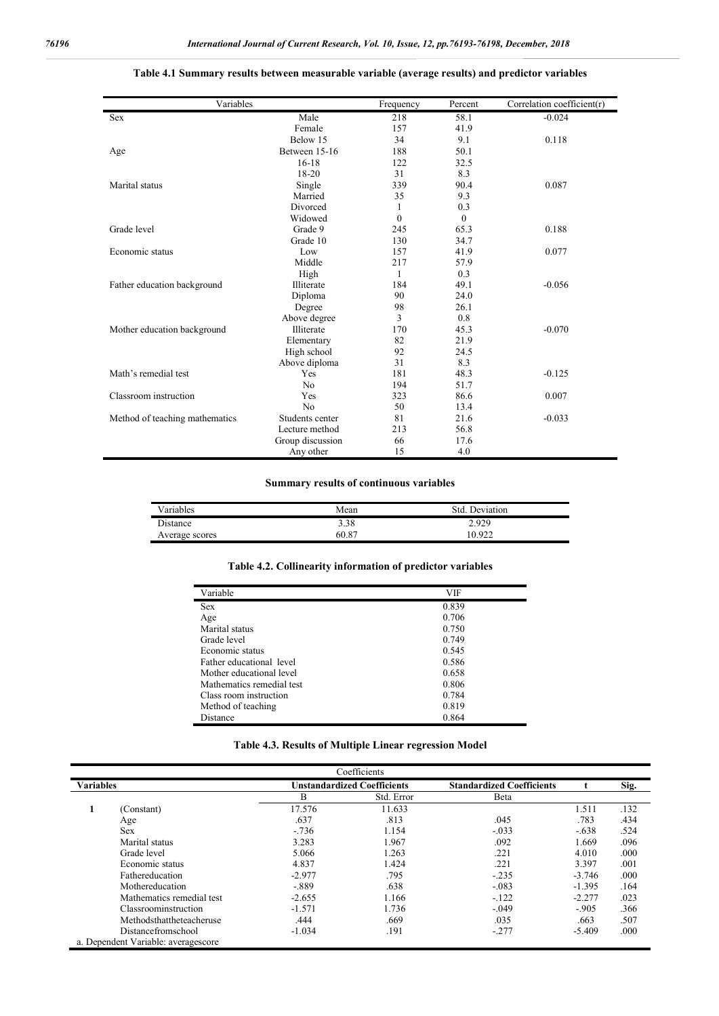| Variables                      | Frequency        | Percent  | Correlation coefficient(r) |          |
|--------------------------------|------------------|----------|----------------------------|----------|
| <b>Sex</b>                     | Male             | 218      | 58.1                       | $-0.024$ |
|                                | Female           | 157      | 41.9                       |          |
|                                | Below 15         | 34       | 9.1                        | 0.118    |
| Age                            | Between 15-16    | 188      | 50.1                       |          |
|                                | $16-18$          | 122      | 32.5                       |          |
|                                | 18-20            | 31       | 8.3                        |          |
| Marital status                 | Single           | 339      | 90.4                       | 0.087    |
|                                | Married          | 35       | 9.3                        |          |
|                                | Divorced         | 1        | 0.3                        |          |
|                                | Widowed          | $\theta$ | $\theta$                   |          |
| Grade level                    | Grade 9          | 245      | 65.3                       | 0.188    |
|                                | Grade 10         | 130      | 34.7                       |          |
| Economic status                | Low              | 157      | 41.9                       | 0.077    |
|                                | Middle           | 217      | 57.9                       |          |
|                                | High             | 1        | 0.3                        |          |
| Father education background    | Illiterate       | 184      | 49.1                       | $-0.056$ |
|                                | Diploma          | 90       | 24.0                       |          |
|                                | Degree           | 98       | 26.1                       |          |
|                                | Above degree     | 3        | 0.8                        |          |
| Mother education background    | Illiterate       | 170      | 45.3                       | $-0.070$ |
|                                | Elementary       | 82       | 21.9                       |          |
|                                | High school      | 92       | 24.5                       |          |
|                                | Above diploma    | 31       | 8.3                        |          |
| Math's remedial test           | Yes              | 181      | 48.3                       | $-0.125$ |
|                                | N <sub>o</sub>   | 194      | 51.7                       |          |
| Classroom instruction          | Yes              | 323      | 86.6                       | 0.007    |
|                                | N <sub>o</sub>   | 50       | 13.4                       |          |
| Method of teaching mathematics | Students center  | 81       | 21.6                       | $-0.033$ |
|                                | Lecture method   | 213      | 56.8                       |          |
|                                | Group discussion | 66       | 17.6                       |          |
|                                | Any other        | 15       | 4.0                        |          |

#### **Table 4.1 Summary results between measurable variable (average results) and predictor variables**

#### **Summary results of continuous variables**

| <b>Variables</b> | Mean  | Deviation<br>Std. |  |
|------------------|-------|-------------------|--|
| Distance         | 3.38  | 2.929             |  |
| Average scores   | 60.87 | 0.922             |  |

#### **Table 4.2. Collinearity information of predictor variables**

| Variable                  | VIF   |
|---------------------------|-------|
| <b>Sex</b>                | 0.839 |
| Age                       | 0.706 |
| Marital status            | 0.750 |
| Grade level               | 0.749 |
| Economic status           | 0.545 |
| Father educational level  | 0.586 |
| Mother educational level  | 0.658 |
| Mathematics remedial test | 0.806 |
| Class room instruction    | 0.784 |
| Method of teaching        | 0.819 |
| Distance                  | 0.864 |

#### **Table 4.3. Results of Multiple Linear regression Model**

| Coefficients     |                                     |                                    |            |                                  |          |      |
|------------------|-------------------------------------|------------------------------------|------------|----------------------------------|----------|------|
| <b>Variables</b> |                                     | <b>Unstandardized Coefficients</b> |            | <b>Standardized Coefficients</b> |          | Sig. |
|                  |                                     | B                                  | Std. Error | Beta                             |          |      |
|                  | (Constant)                          | 17.576                             | 11.633     |                                  | 1.511    | .132 |
|                  | Age                                 | .637                               | .813       | .045                             | .783     | .434 |
|                  | Sex                                 | $-.736$                            | 1.154      | $-.033$                          | $-.638$  | .524 |
|                  | Marital status                      | 3.283                              | 1.967      | .092                             | 1.669    | .096 |
|                  | Grade level                         | 5.066                              | 1.263      | .221                             | 4.010    | .000 |
|                  | Economic status                     | 4.837                              | 1.424      | .221                             | 3.397    | .001 |
|                  | Fathereducation                     | $-2.977$                           | .795       | $-.235$                          | $-3.746$ | .000 |
|                  | Mothereducation                     | $-.889$                            | .638       | $-.083$                          | $-1.395$ | .164 |
|                  | Mathematics remedial test           | $-2.655$                           | 1.166      | $-.122$                          | $-2.277$ | .023 |
|                  | Classroominstruction                | $-1.571$                           | 1.736      | $-.049$                          | $-.905$  | .366 |
|                  | Methodsthattheteacheruse            | .444                               | .669       | .035                             | .663     | .507 |
|                  | Distancefromschool                  | $-1.034$                           | .191       | $-.277$                          | $-5.409$ | .000 |
|                  | a. Dependent Variable: averagescore |                                    |            |                                  |          |      |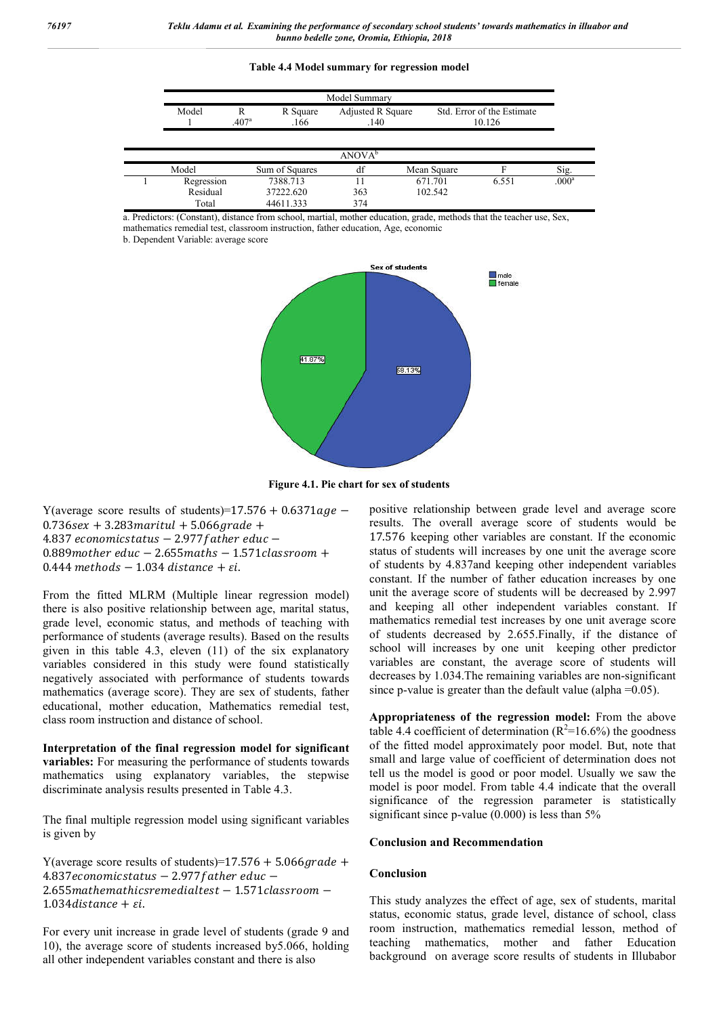#### **Table 4.4 Model summary for regression model**

| Model Summary |                                                                                                                 |                    |             |       |                   |
|---------------|-----------------------------------------------------------------------------------------------------------------|--------------------|-------------|-------|-------------------|
| Model         | Adjusted R Square<br>Std. Error of the Estimate<br>R<br>R Square<br>.407 <sup>a</sup><br>.140<br>.166<br>10.126 |                    |             |       |                   |
|               |                                                                                                                 |                    |             |       |                   |
|               |                                                                                                                 | ANOVA <sup>b</sup> |             |       |                   |
| Model         | Sum of Squares                                                                                                  | df                 | Mean Square |       | Sig.              |
| Regression    | 7388.713                                                                                                        | 11                 | 671.701     | 6.551 | .000 <sup>a</sup> |
| Residual      | 37222.620                                                                                                       | 363                | 102.542     |       |                   |
| Total         | 44611.333                                                                                                       | 374                |             |       |                   |

a. Predictors: (Constant), distance from school, martial, mother education, grade, methods that the teacher use, Sex, mathematics remedial test, classroom instruction, father education, Age, economic

b. Dependent Variable: average score



**Figure 4.1. Pie chart for sex of students**

Y(average score results of students)=17.576 + 0.6371 $age 0.736$ sex + 3.283 maritul + 5.066 grade +  $4.837$  economicstatus  $-$  2.977 father educ  $0.889$  mother educ  $-2.655$  maths  $-1.571$  classroom  $+$  $0.444$  methods  $-1.034$  distance  $+ \varepsilon i$ .

From the fitted MLRM (Multiple linear regression model) there is also positive relationship between age, marital status, grade level, economic status, and methods of teaching with performance of students (average results). Based on the results given in this table 4.3, eleven (11) of the six explanatory variables considered in this study were found statistically negatively associated with performance of students towards mathematics (average score). They are sex of students, father educational, mother education, Mathematics remedial test, class room instruction and distance of school.

**Interpretation of the final regression model for significant variables:** For measuring the performance of students towards mathematics using explanatory variables, the stepwise discriminate analysis results presented in Table 4.3.

The final multiple regression model using significant variables is given by

Y(average score results of students)=17.576 + 5.066 grade +  $4.837$ economicstatus – 2.977 father educ – 2.655 mathemathics remedialtest - 1.571 classroom - $1.034$  distance +  $\varepsilon i$ .

For every unit increase in grade level of students (grade 9 and 10), the average score of students increased by5.066, holding all other independent variables constant and there is also

positive relationship between grade level and average score results. The overall average score of students would be 17.576 keeping other variables are constant. If the economic status of students will increases by one unit the average score of students by 4.837and keeping other independent variables constant. If the number of father education increases by one unit the average score of students will be decreased by 2.997 and keeping all other independent variables constant. If mathematics remedial test increases by one unit average score of students decreased by 2.655.Finally, if the distance of school will increases by one unit keeping other predictor variables are constant, the average score of students will decreases by 1.034.The remaining variables are non-significant since p-value is greater than the default value (alpha = 0.05).

**Appropriateness of the regression model:** From the above table 4.4 coefficient of determination ( $R^2$ =16.6%) the goodness of the fitted model approximately poor model. But, note that small and large value of coefficient of determination does not tell us the model is good or poor model. Usually we saw the model is poor model. From table 4.4 indicate that the overall significance of the regression parameter is statistically significant since p-value  $(0.000)$  is less than 5%

#### **Conclusion and Recommendation**

#### **Conclusion**

This study analyzes the effect of age, sex of students, marital status, economic status, grade level, distance of school, class room instruction, mathematics remedial lesson, method of teaching mathematics, mother and father Education background on average score results of students in Illubabor